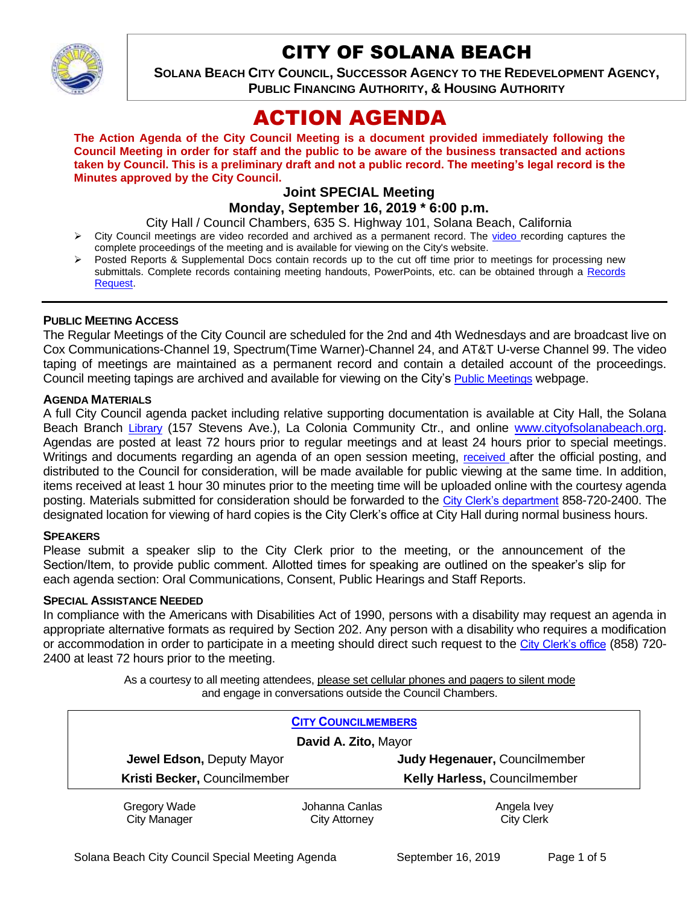

# CITY OF SOLANA BEACH

**SOLANA BEACH CITY COUNCIL, SUCCESSOR AGENCY TO THE REDEVELOPMENT AGENCY, PUBLIC FINANCING AUTHORITY, & HOUSING AUTHORITY** 

# ACTION AGENDA

**The Action Agenda of the City Council Meeting is a document provided immediately following the Council Meeting in order for staff and the public to be aware of the business transacted and actions taken by Council. This is a preliminary draft and not a public record. The meeting's legal record is the Minutes approved by the City Council.**

# **Joint SPECIAL Meeting Monday, September 16, 2019 \* 6:00 p.m.**

City Hall / Council Chambers, 635 S. Highway 101, Solana Beach, California

- $\triangleright$  City Council meetings are [video r](https://solanabeach.12milesout.com/#page=1)ecorded and archived as a permanent record. The video recording captures the complete proceedings of the meeting and is available for viewing on the City's website.
- Posted Reports & Supplemental Docs contain records up to the cut off time prior to meetings for processing new submittals. Complete records containing meeting handouts, PowerPoints, etc. can be obtained through a Records [Request.](http://www.ci.solana-beach.ca.us/index.asp?SEC=F5D45D10-70CE-4291-A27C-7BD633FC6742&Type=B_BASIC)

#### **PUBLIC MEETING ACCESS**

The Regular Meetings of the City Council are scheduled for the 2nd and 4th Wednesdays and are broadcast live on Cox Communications-Channel 19, Spectrum(Time Warner)-Channel 24, and AT&T U-verse Channel 99. The video taping of meetings are maintained as a permanent record and contain a detailed account of the proceedings. Council meeting tapings are archived and available for viewing on the City's [Public Meetings](https://www.ci.solana-beach.ca.us/index.asp?SEC=F0F1200D-21C6-4A88-8AE1-0BC07C1A81A7&Type=B_BASIC) webpage.

#### **AGENDA MATERIALS**

A full City Council agenda packet including relative supporting documentation is available at City Hall, the Solana Beach Branch [Library](http://www.sdcl.org/locations_SB.html) (157 Stevens Ave.), La Colonia Community Ctr., and online [www.cityofsolanabeach.org.](http://www.cityofsolanabeach.org/) Agendas are posted at least 72 hours prior to regular meetings and at least 24 hours prior to special meetings. Writings and documents regarding an agenda of an open session meeting, [received](mailto:EMAILGRP-CityClerksOfc@cosb.org) after the official posting, and distributed to the Council for consideration, will be made available for public viewing at the same time. In addition, items received at least 1 hour 30 minutes prior to the meeting time will be uploaded online with the courtesy agenda posting. Materials submitted for consideration should be forwarded to the [City Clerk's department](mailto:EMAILGRP-CityClerksOfc@cosb.org) 858-720-2400. The designated location for viewing of hard copies is the City Clerk's office at City Hall during normal business hours.

#### **SPEAKERS**

Please submit a speaker slip to the City Clerk prior to the meeting, or the announcement of the Section/Item, to provide public comment. Allotted times for speaking are outlined on the speaker's slip for each agenda section: Oral Communications, Consent, Public Hearings and Staff Reports.

#### **SPECIAL ASSISTANCE NEEDED**

In compliance with the Americans with Disabilities Act of 1990, persons with a disability may request an agenda in appropriate alternative formats as required by Section 202. Any person with a disability who requires a modification or accommodation in order to participate in a meeting should direct such request to the [City Clerk's office](mailto:clerkadmin@cosb.org?subject=City%20Clerk%20Notice%20of%20Special%20Services%20Needed) (858) 720- 2400 at least 72 hours prior to the meeting.

> As a courtesy to all meeting attendees, please set cellular phones and pagers to silent mode and engage in conversations outside the Council Chambers.

| <b>CITY COUNCILMEMBERS</b>   |                |                               |
|------------------------------|----------------|-------------------------------|
| David A. Zito, Mayor         |                |                               |
| Jewel Edson, Deputy Mayor    |                | Judy Hegenauer, Councilmember |
| Kristi Becker, Councilmember |                | Kelly Harless, Councilmember  |
| Gregory Wade                 | Johanna Canlas | Angela Ivey                   |
| <b>City Manager</b>          | City Attorney  | <b>City Clerk</b>             |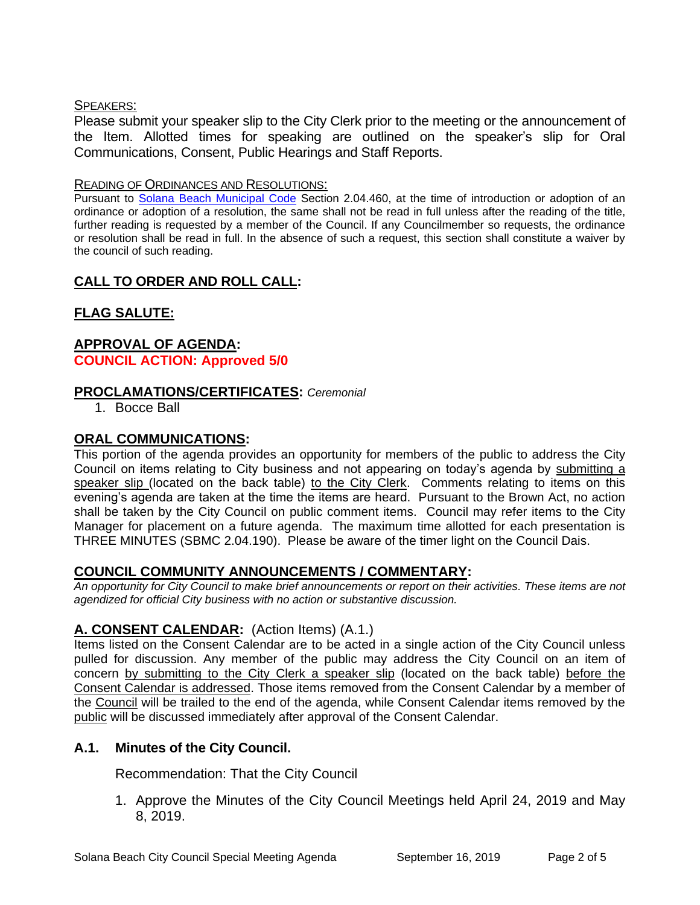### SPEAKERS:

Please submit your speaker slip to the City Clerk prior to the meeting or the announcement of the Item. Allotted times for speaking are outlined on the speaker's slip for Oral Communications, Consent, Public Hearings and Staff Reports.

#### READING OF ORDINANCES AND RESOLUTIONS:

Pursuant to [Solana Beach Municipal Code](mailto:https://www.codepublishing.com/CA/SolanaBeach/) Section 2.04.460, at the time of introduction or adoption of an ordinance or adoption of a resolution, the same shall not be read in full unless after the reading of the title, further reading is requested by a member of the Council. If any Councilmember so requests, the ordinance or resolution shall be read in full. In the absence of such a request, this section shall constitute a waiver by the council of such reading.

# **CALL TO ORDER AND ROLL CALL:**

# **FLAG SALUTE:**

## **APPROVAL OF AGENDA: COUNCIL ACTION: Approved 5/0**

## **PROCLAMATIONS/CERTIFICATES:** *Ceremonial*

1. Bocce Ball

## **ORAL COMMUNICATIONS:**

This portion of the agenda provides an opportunity for members of the public to address the City Council on items relating to City business and not appearing on today's agenda by submitting a speaker slip (located on the back table) to the City Clerk. Comments relating to items on this evening's agenda are taken at the time the items are heard. Pursuant to the Brown Act, no action shall be taken by the City Council on public comment items. Council may refer items to the City Manager for placement on a future agenda. The maximum time allotted for each presentation is THREE MINUTES (SBMC 2.04.190). Please be aware of the timer light on the Council Dais.

## **COUNCIL COMMUNITY ANNOUNCEMENTS / COMMENTARY:**

*An opportunity for City Council to make brief announcements or report on their activities. These items are not agendized for official City business with no action or substantive discussion.* 

## **A. CONSENT CALENDAR:** (Action Items) (A.1.)

Items listed on the Consent Calendar are to be acted in a single action of the City Council unless pulled for discussion. Any member of the public may address the City Council on an item of concern by submitting to the City Clerk a speaker slip (located on the back table) before the Consent Calendar is addressed. Those items removed from the Consent Calendar by a member of the Council will be trailed to the end of the agenda, while Consent Calendar items removed by the public will be discussed immediately after approval of the Consent Calendar.

## **A.1. Minutes of the City Council.**

Recommendation: That the City Council

1. Approve the Minutes of the City Council Meetings held April 24, 2019 and May 8, 2019.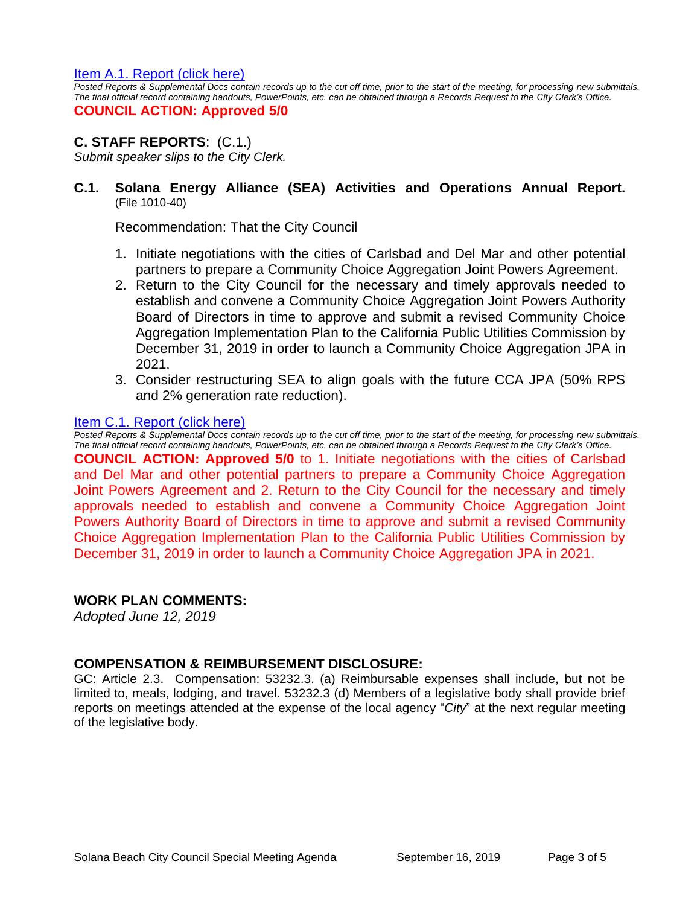#### [Item A.1. Report \(click here\)](https://solanabeach.govoffice3.com/vertical/Sites/%7B840804C2-F869-4904-9AE3-720581350CE7%7D/uploads/Item_A.1._(click_here)_-_O.pdf)

*Posted Reports & Supplemental Docs contain records up to the cut off time, prior to the start of the meeting, for processing new submittals. The final official record containing handouts, PowerPoints, etc. can be obtained through a Records Request to the City Clerk's Office.*

## **COUNCIL ACTION: Approved 5/0**

## **C. STAFF REPORTS**: (C.1.)

*Submit speaker slips to the City Clerk.*

## **C.1. Solana Energy Alliance (SEA) Activities and Operations Annual Report.** (File 1010-40)

Recommendation: That the City Council

- 1. Initiate negotiations with the cities of Carlsbad and Del Mar and other potential partners to prepare a Community Choice Aggregation Joint Powers Agreement.
- 2. Return to the City Council for the necessary and timely approvals needed to establish and convene a Community Choice Aggregation Joint Powers Authority Board of Directors in time to approve and submit a revised Community Choice Aggregation Implementation Plan to the California Public Utilities Commission by December 31, 2019 in order to launch a Community Choice Aggregation JPA in 2021.
- 3. Consider restructuring SEA to align goals with the future CCA JPA (50% RPS and 2% generation rate reduction).

#### Item C.1. Report (click here)

*Posted Reports & Supplemental Docs contain records up to the cut off time, prior to the start of the meeting, for processing new submittals. The final official record containing handouts, PowerPoints, etc. can be obtained through a Records Request to the City Clerk's Office.* **COUNCIL ACTION: Approved 5/0** to 1. Initiate negotiations with the cities of Carlsbad and Del Mar and other potential partners to prepare a Community Choice Aggregation Joint Powers Agreement and 2. Return to the City Council for the necessary and timely approvals needed to establish and convene a Community Choice Aggregation Joint Powers Authority Board of Directors in time to approve and submit a revised Community Choice Aggregation Implementation Plan to the California Public Utilities Commission by December 31, 2019 in order to launch a Community Choice Aggregation JPA in 2021.

#### **WORK PLAN COMMENTS:**

*Adopted June 12, 2019*

#### **COMPENSATION & REIMBURSEMENT DISCLOSURE:**

GC: Article 2.3. Compensation: 53232.3. (a) Reimbursable expenses shall include, but not be limited to, meals, lodging, and travel. 53232.3 (d) Members of a legislative body shall provide brief reports on meetings attended at the expense of the local agency "*City*" at the next regular meeting of the legislative body.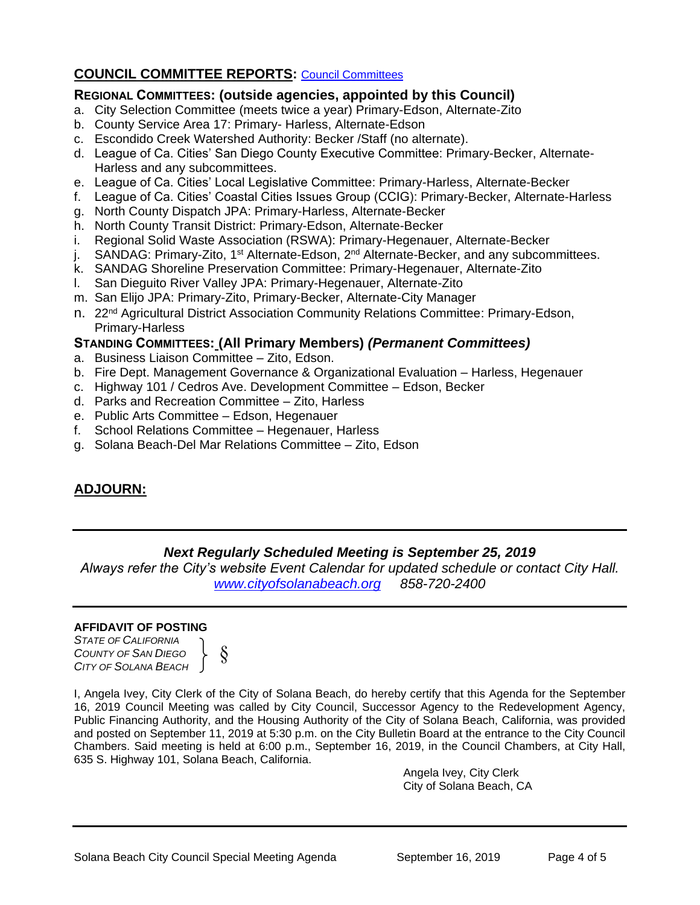## **COUNCIL COMMITTEE REPORTS:** [Council Committees](https://www.ci.solana-beach.ca.us/index.asp?SEC=584E1192-3850-46EA-B977-088AC3E81E0D&Type=B_BASIC)

### **REGIONAL COMMITTEES: (outside agencies, appointed by this Council)**

- a. City Selection Committee (meets twice a year) Primary-Edson, Alternate-Zito
- b. County Service Area 17: Primary- Harless, Alternate-Edson
- c. Escondido Creek Watershed Authority: Becker /Staff (no alternate).
- d. League of Ca. Cities' San Diego County Executive Committee: Primary-Becker, Alternate-Harless and any subcommittees.
- e. League of Ca. Cities' Local Legislative Committee: Primary-Harless, Alternate-Becker
- f. League of Ca. Cities' Coastal Cities Issues Group (CCIG): Primary-Becker, Alternate-Harless
- g. North County Dispatch JPA: Primary-Harless, Alternate-Becker
- h. North County Transit District: Primary-Edson, Alternate-Becker
- i. Regional Solid Waste Association (RSWA): Primary-Hegenauer, Alternate-Becker
- j. SANDAG: Primary-Zito, 1<sup>st</sup> Alternate-Edson, 2<sup>nd</sup> Alternate-Becker, and any subcommittees.
- k. SANDAG Shoreline Preservation Committee: Primary-Hegenauer, Alternate-Zito
- l. San Dieguito River Valley JPA: Primary-Hegenauer, Alternate-Zito
- m. San Elijo JPA: Primary-Zito, Primary-Becker, Alternate-City Manager
- n. 22<sup>nd</sup> Agricultural District Association Community Relations Committee: Primary-Edson, Primary-Harless

#### **STANDING COMMITTEES: (All Primary Members)** *(Permanent Committees)*

- a. Business Liaison Committee Zito, Edson.
- b. Fire Dept. Management Governance & Organizational Evaluation Harless, Hegenauer
- c. Highway 101 / Cedros Ave. Development Committee Edson, Becker
- d. Parks and Recreation Committee Zito, Harless
- e. Public Arts Committee Edson, Hegenauer
- f. School Relations Committee Hegenauer, Harless
- g. Solana Beach-Del Mar Relations Committee Zito, Edson

# **ADJOURN:**

## *Next Regularly Scheduled Meeting is September 25, 2019*

*Always refer the City's website Event Calendar for updated schedule or contact City Hall. [www.cityofsolanabeach.org](http://www.cityofsolanabeach.org/) 858-720-2400*

#### **AFFIDAVIT OF POSTING**

*STATE OF CALIFORNIA COUNTY OF SAN DIEGO CITY OF SOLANA BEACH*

§

I, Angela Ivey, City Clerk of the City of Solana Beach, do hereby certify that this Agenda for the September 16, 2019 Council Meeting was called by City Council, Successor Agency to the Redevelopment Agency, Public Financing Authority, and the Housing Authority of the City of Solana Beach, California, was provided and posted on September 11, 2019 at 5:30 p.m. on the City Bulletin Board at the entrance to the City Council Chambers. Said meeting is held at 6:00 p.m., September 16, 2019, in the Council Chambers, at City Hall, 635 S. Highway 101, Solana Beach, California.

Angela Ivey, City Clerk City of Solana Beach, CA